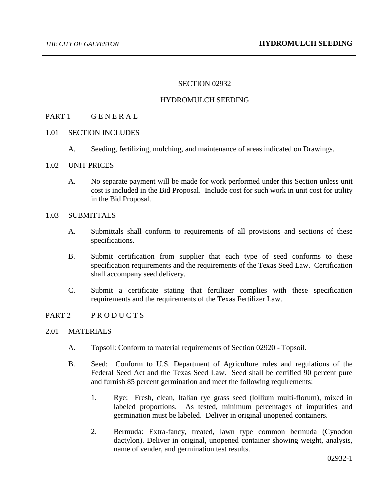### SECTION 02932

### HYDROMULCH SEEDING

## PART 1 GENERAL

### 1.01 SECTION INCLUDES

- A. Seeding, fertilizing, mulching, and maintenance of areas indicated on Drawings.
- 1.02 UNIT PRICES
	- A. No separate payment will be made for work performed under this Section unless unit cost is included in the Bid Proposal. Include cost for such work in unit cost for utility in the Bid Proposal.

## 1.03 SUBMITTALS

- A. Submittals shall conform to requirements of all provisions and sections of these specifications.
- B. Submit certification from supplier that each type of seed conforms to these specification requirements and the requirements of the Texas Seed Law. Certification shall accompany seed delivery.
- C. Submit a certificate stating that fertilizer complies with these specification requirements and the requirements of the Texas Fertilizer Law.

#### PART 2 PRODUCTS

- 2.01 MATERIALS
	- A. Topsoil: Conform to material requirements of Section 02920 Topsoil.
	- B. Seed: Conform to U.S. Department of Agriculture rules and regulations of the Federal Seed Act and the Texas Seed Law. Seed shall be certified 90 percent pure and furnish 85 percent germination and meet the following requirements:
		- 1. Rye: Fresh, clean, Italian rye grass seed (lollium multi-florum), mixed in labeled proportions. As tested, minimum percentages of impurities and germination must be labeled. Deliver in original unopened containers.
		- 2. Bermuda: Extra-fancy, treated, lawn type common bermuda (Cynodon dactylon). Deliver in original, unopened container showing weight, analysis, name of vender, and germination test results.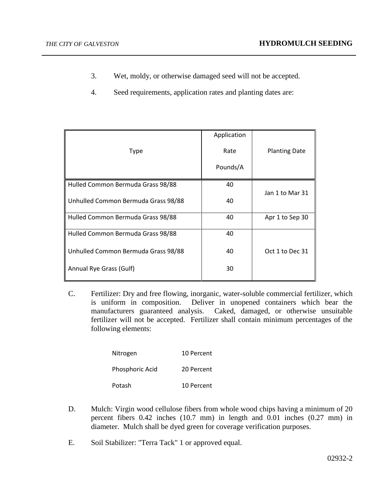- 3. Wet, moldy, or otherwise damaged seed will not be accepted.
- 4. Seed requirements, application rates and planting dates are:

| Type                                | Application<br>Rate | <b>Planting Date</b> |
|-------------------------------------|---------------------|----------------------|
|                                     | Pounds/A            |                      |
| Hulled Common Bermuda Grass 98/88   | 40                  | Jan 1 to Mar 31      |
| Unhulled Common Bermuda Grass 98/88 | 40                  |                      |
| Hulled Common Bermuda Grass 98/88   | 40                  | Apr 1 to Sep 30      |
| Hulled Common Bermuda Grass 98/88   | 40                  |                      |
| Unhulled Common Bermuda Grass 98/88 | 40                  | Oct 1 to Dec 31      |
| Annual Rye Grass (Gulf)             | 30                  |                      |

C. Fertilizer: Dry and free flowing, inorganic, water-soluble commercial fertilizer, which is uniform in composition. Deliver in unopened containers which bear the manufacturers guaranteed analysis. Caked, damaged, or otherwise unsuitable fertilizer will not be accepted. Fertilizer shall contain minimum percentages of the following elements:

| Nitrogen        | 10 Percent |
|-----------------|------------|
| Phosphoric Acid | 20 Percent |
| Potash          | 10 Percent |

- D. Mulch: Virgin wood cellulose fibers from whole wood chips having a minimum of 20 percent fibers 0.42 inches (10.7 mm) in length and 0.01 inches (0.27 mm) in diameter. Mulch shall be dyed green for coverage verification purposes.
- E. Soil Stabilizer: "Terra Tack" 1 or approved equal.